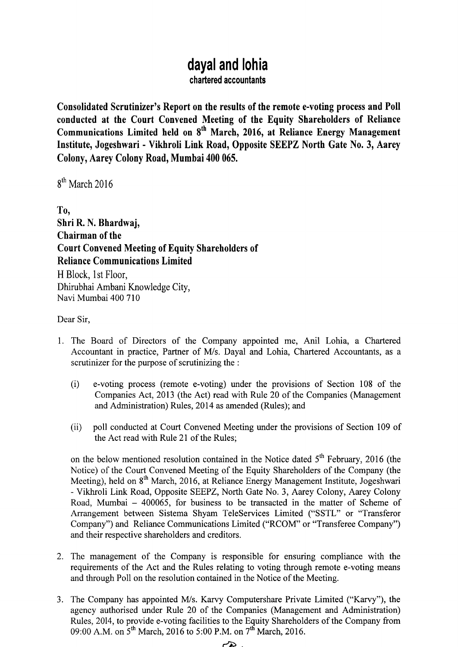## **dayal and lohia**

**chartered accountants**

**Consolidated Scrutinizer** '**s Report on the results of the remote e-voting process and Poll conducted** at the Court **Convened Meeting of the Equity Shareholders of Reliance Communications Limited held on 8th March** , 2016, **at Reliance Energy Management Institute**, **Jogeshwari** - Vikhroli Link **Road**, **Opposite** SEEPZ North Gate No. 3, Aarey Colony, Aarey Colony **Road**, **Mumbai 400 065.**

 $8<sup>th</sup>$  March 2016

To, **Shri R**. **N. Bhardwaj, Chairman of the Court Convened Meeting of Equity Shareholders of Reliance Communications Limited** H Block, l st Floor, Dhirubhai Ambani Knowledge City, Navi Mumbai 400 710

Dear Sir,

- 1. The Board of Directors of the Company appointed me, Anil Lohia, a Chartered Accountant in practice, Partner of M/s. Dayal and Lohia, Chartered Accountants, as a scrutinizer for the purpose of scrutinizing the :
	- **(i) e-voting process** (**remote e-voting**) **under the provisions of Section 108 of the Companies** Act, 2013 (the Act) **read with Rule 20 of the Companies** (**Management and Administration**) **Rules, 2014 as amended (Rules); and**
	- (ii) poll conducted at Court Convened Meeting under the provisions of Section 109 of the Act read with Rule 21 of the Rules;

on the below mentioned resolution contained in the Notice dated  $5<sup>th</sup>$  February, 2016 (the Notice) of the Court Convened Meeting of the Equity Shareholders of the Company (the Meeting), held on 8<sup>th</sup> March, 2016, at Reliance Energy Management Institute, Jogeshwari - Vikhroli Link Road, Opposite SEEPZ, North Gate No. 3, Aarey Colony, Aarey Colony Road, Mumbai - 400065, for business to be transacted in the matter of Scheme of Arrangement between Sistema Shyam TeleServices Limited ("SSTL" or "Transferor Company") and Reliance Communications Limited ("RCOM" or "Transferee Company") and their respective shareholders and creditors.

- 2. The **management** of the Company **is responsible for ensuring compliance with the requirements** of the Act **and the Rules relating to voting through remote e-voting means and through Poll on the resolution contained in the Notice of the Meeting.**
- 3. The Company has appointed M/s. Karvy Computershare Private Limited ("Karvy"), the agency authorised under Rule 20 of the Companies (Management and Administration) Rules, 2014, to provide e-voting facilities to the Equity Shareholders of the Company from 09:00 A.M. on 5<sup>th</sup> March, 2016 to 5:00 P.M. on 7<sup>th</sup> March, 2016.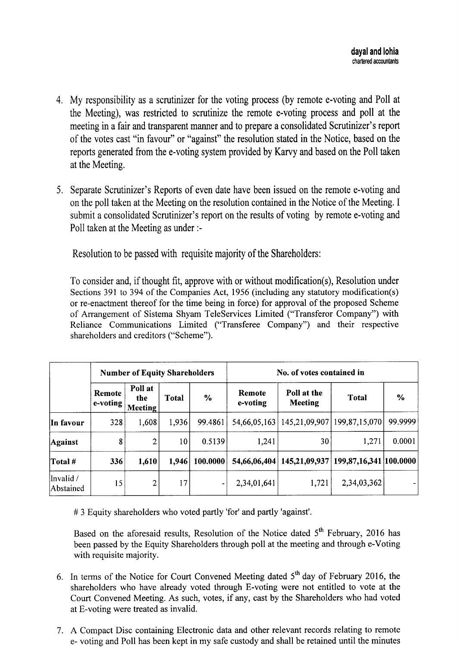- 4. My responsibility as a scrutinizer for the voting process (by remote e-voting and Poll at the Meeting), was restricted to scrutinize the remote e-voting process and poll at the meeting in a fair and transparent manner and to prepare a consolidated Scrutinizer's report of the votes cast "in favour" or "against" the resolution stated in the Notice, based on the reports generated from the e-voting system provided by Karvy and based on the Poll taken at the Meeting.
- 5. Separate Scrutinizer's Reports of even date have been issued on the remote e-voting and on the poll taken at the Meeting on the resolution contained in the Notice of the Meeting. I submit a consolidated Scrutinizer's report on the results of voting by remote e-voting and Poll taken at the Meeting as under :-

Resolution to be passed with requisite majority of the Shareholders:

To consider and, if thought fit, approve with or without modification(s), Resolution under Sections 391 to 394 of the Companies Act, 1956 (including any statutory modification(s) or re-enactment thereof for the time being in force) for approval of the proposed Scheme of Arrangement of Sistema Shyam TeleServices Limited ("Transferor Company") with Reliance Communications Limited ("Transferee Company") and their respective shareholders and creditors ("Scheme").

|                        | <b>Number of Equity Shareholders</b> |                                  |              |               | No. of votes contained in |                                              |                                      |         |
|------------------------|--------------------------------------|----------------------------------|--------------|---------------|---------------------------|----------------------------------------------|--------------------------------------|---------|
|                        | Remote<br>e-voting                   | Poll at<br>the<br><b>Meeting</b> | <b>Total</b> | $\frac{0}{0}$ | Remote<br>e-voting        | Poll at the<br><b>Meeting</b>                | <b>Total</b>                         | $\%$    |
| In favour              | 328                                  | 1,608                            | 1,936        | 99.4861       |                           | 54,66,05,163   145,21,09,907   199,87,15,070 |                                      | 99.9999 |
| Against                | 8                                    | $\overline{2}$                   | 10           | 0.5139        | 1,241                     | 30                                           | 1,271                                | 0.0001  |
| Total #                | 336                                  | 1,610                            | 1,946        | 100.0000      | 54,66,06,404              |                                              | 145,21,09,937 199,87,16,341 100.0000 |         |
| Invalid /<br>Abstained | 15                                   | $\overline{2}$                   | 17           | ۰             | 2,34,01,641               | 1,721                                        | 2,34,03,362                          |         |

# 3 Equity shareholders who voted partly 'for' and partly ' **against'.**

Based on the aforesaid results, Resolution of the Notice dated 5<sup>th</sup> February, 2016 has **been passed** by the **Equity Shareholders through poll at the meeting and through e-Voting with requisite majority.**

- 6. In terms of the Notice for Court Convened Meeting dated  $5<sup>th</sup>$  day of February 2016, the shareholders who have already voted through E-voting were not entitled to vote at the Court Convened Meeting. As such, votes, if any, cast by the Shareholders who had voted at E-voting were treated as invalid.
- 7. A Compact **Disc containing Electronic data and other relevant records relating to remote e- voting and Poll has been kept in my safe custody and shall be retained until the minutes**